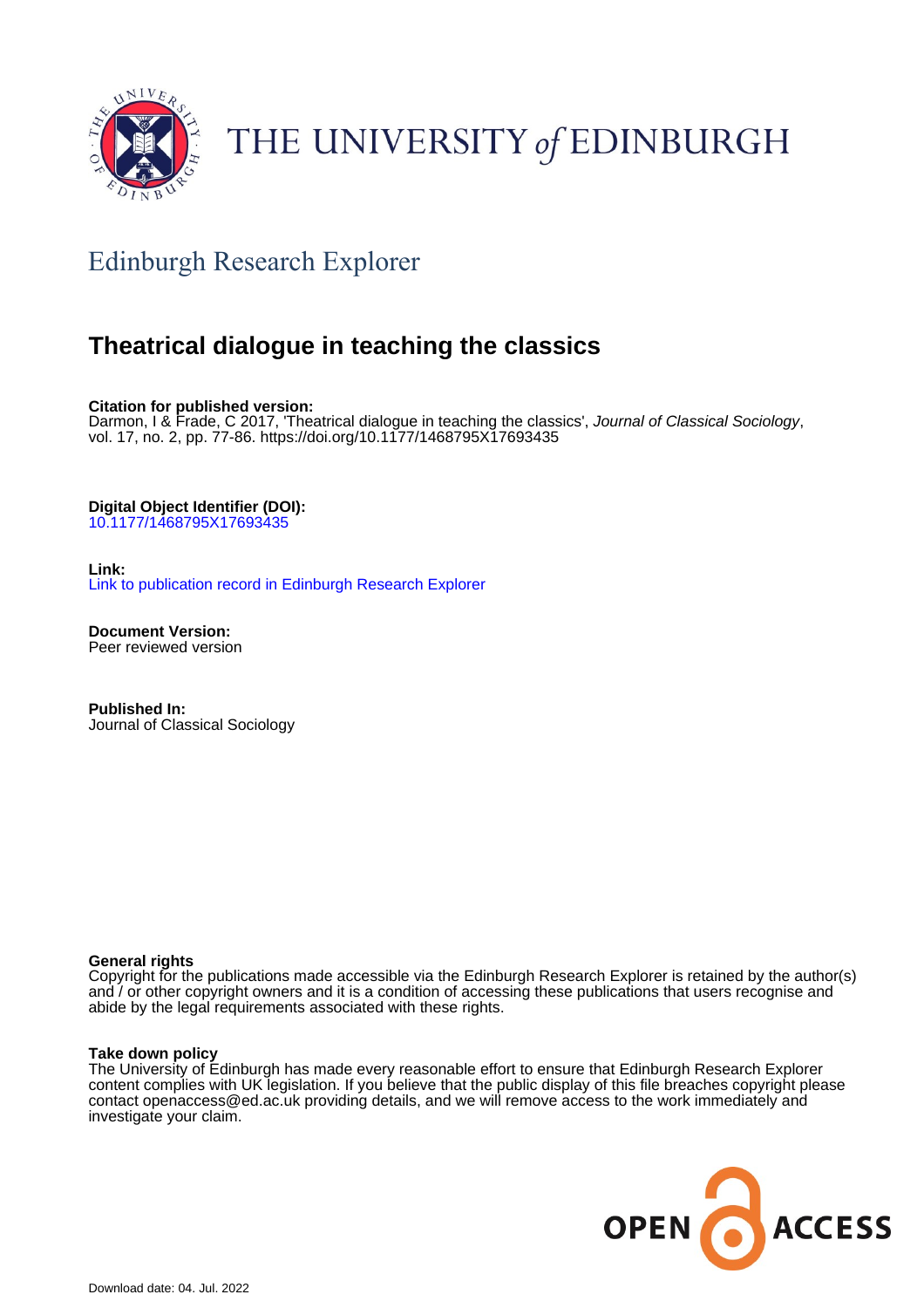

# THE UNIVERSITY of EDINBURGH

## Edinburgh Research Explorer

### **Theatrical dialogue in teaching the classics**

**Citation for published version:**

Darmon, I & Frade, C 2017, 'Theatrical dialogue in teaching the classics', Journal of Classical Sociology, vol. 17, no. 2, pp. 77-86. <https://doi.org/10.1177/1468795X17693435>

**Digital Object Identifier (DOI):**

[10.1177/1468795X17693435](https://doi.org/10.1177/1468795X17693435)

**Link:** [Link to publication record in Edinburgh Research Explorer](https://www.research.ed.ac.uk/en/publications/69c29031-274a-4a2a-a349-e05aeedb8659)

**Document Version:** Peer reviewed version

**Published In:** Journal of Classical Sociology

#### **General rights**

Copyright for the publications made accessible via the Edinburgh Research Explorer is retained by the author(s) and / or other copyright owners and it is a condition of accessing these publications that users recognise and abide by the legal requirements associated with these rights.

#### **Take down policy**

The University of Edinburgh has made every reasonable effort to ensure that Edinburgh Research Explorer content complies with UK legislation. If you believe that the public display of this file breaches copyright please contact openaccess@ed.ac.uk providing details, and we will remove access to the work immediately and investigate your claim.

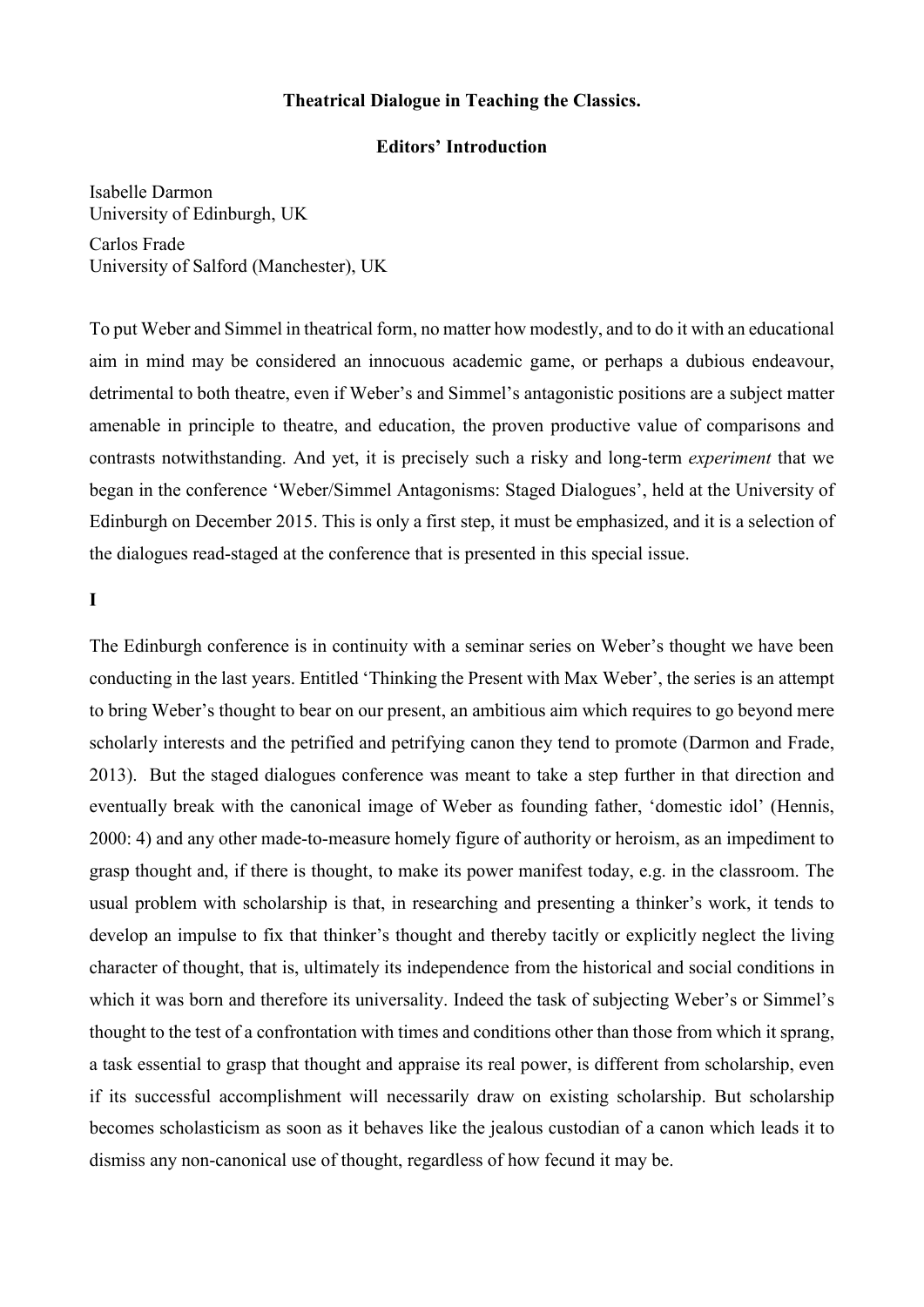#### **Theatrical Dialogue in Teaching the Classics.**

#### **Editors' Introduction**

Isabelle Darmon University of Edinburgh, UK Carlos Frade University of Salford (Manchester), UK

To put Weber and Simmel in theatrical form, no matter how modestly, and to do it with an educational aim in mind may be considered an innocuous academic game, or perhaps a dubious endeavour, detrimental to both theatre, even if Weber's and Simmel's antagonistic positions are a subject matter amenable in principle to theatre, and education, the proven productive value of comparisons and contrasts notwithstanding. And yet, it is precisely such a risky and long-term *experiment* that we began in the conference 'Weber/Simmel Antagonisms: Staged Dialogues', held at the University of Edinburgh on December 2015. This is only a first step, it must be emphasized, and it is a selection of the dialogues read-staged at the conference that is presented in this special issue.

#### **I**

The Edinburgh conference is in continuity with a seminar series on Weber's thought we have been conducting in the last years. Entitled 'Thinking the Present with Max Weber', the series is an attempt to bring Weber's thought to bear on our present, an ambitious aim which requires to go beyond mere scholarly interests and the petrified and petrifying canon they tend to promote (Darmon and Frade, 2013). But the staged dialogues conference was meant to take a step further in that direction and eventually break with the canonical image of Weber as founding father, 'domestic idol' (Hennis, 2000: 4) and any other made-to-measure homely figure of authority or heroism, as an impediment to grasp thought and, if there is thought, to make its power manifest today, e.g. in the classroom. The usual problem with scholarship is that, in researching and presenting a thinker's work, it tends to develop an impulse to fix that thinker's thought and thereby tacitly or explicitly neglect the living character of thought, that is, ultimately its independence from the historical and social conditions in which it was born and therefore its universality. Indeed the task of subjecting Weber's or Simmel's thought to the test of a confrontation with times and conditions other than those from which it sprang, a task essential to grasp that thought and appraise its real power, is different from scholarship, even if its successful accomplishment will necessarily draw on existing scholarship. But scholarship becomes scholasticism as soon as it behaves like the jealous custodian of a canon which leads it to dismiss any non-canonical use of thought, regardless of how fecund it may be.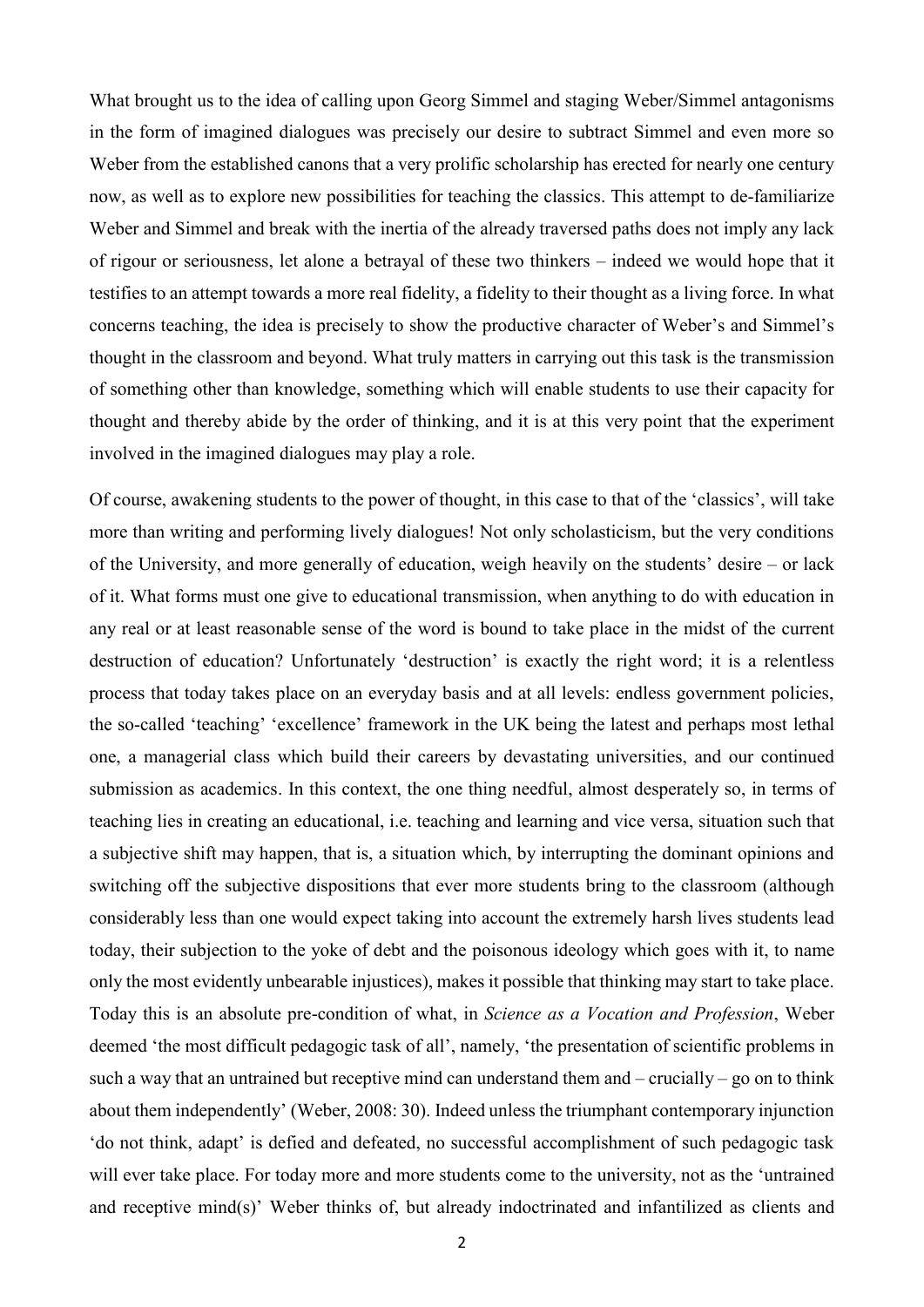What brought us to the idea of calling upon Georg Simmel and staging Weber/Simmel antagonisms in the form of imagined dialogues was precisely our desire to subtract Simmel and even more so Weber from the established canons that a very prolific scholarship has erected for nearly one century now, as well as to explore new possibilities for teaching the classics. This attempt to de-familiarize Weber and Simmel and break with the inertia of the already traversed paths does not imply any lack of rigour or seriousness, let alone a betrayal of these two thinkers – indeed we would hope that it testifies to an attempt towards a more real fidelity, a fidelity to their thought as a living force. In what concerns teaching, the idea is precisely to show the productive character of Weber's and Simmel's thought in the classroom and beyond. What truly matters in carrying out this task is the transmission of something other than knowledge, something which will enable students to use their capacity for thought and thereby abide by the order of thinking, and it is at this very point that the experiment involved in the imagined dialogues may play a role.

Of course, awakening students to the power of thought, in this case to that of the 'classics', will take more than writing and performing lively dialogues! Not only scholasticism, but the very conditions of the University, and more generally of education, weigh heavily on the students' desire – or lack of it. What forms must one give to educational transmission, when anything to do with education in any real or at least reasonable sense of the word is bound to take place in the midst of the current destruction of education? Unfortunately 'destruction' is exactly the right word; it is a relentless process that today takes place on an everyday basis and at all levels: endless government policies, the so-called 'teaching' 'excellence' framework in the UK being the latest and perhaps most lethal one, a managerial class which build their careers by devastating universities, and our continued submission as academics. In this context, the one thing needful, almost desperately so, in terms of teaching lies in creating an educational, i.e. teaching and learning and vice versa, situation such that a subjective shift may happen, that is, a situation which, by interrupting the dominant opinions and switching off the subjective dispositions that ever more students bring to the classroom (although considerably less than one would expect taking into account the extremely harsh lives students lead today, their subjection to the yoke of debt and the poisonous ideology which goes with it, to name only the most evidently unbearable injustices), makes it possible that thinking may start to take place. Today this is an absolute pre-condition of what, in *Science as a Vocation and Profession*, Weber deemed 'the most difficult pedagogic task of all', namely, 'the presentation of scientific problems in such a way that an untrained but receptive mind can understand them and – crucially – go on to think about them independently' (Weber, 2008: 30). Indeed unless the triumphant contemporary injunction 'do not think, adapt' is defied and defeated, no successful accomplishment of such pedagogic task will ever take place. For today more and more students come to the university, not as the 'untrained and receptive mind(s)' Weber thinks of, but already indoctrinated and infantilized as clients and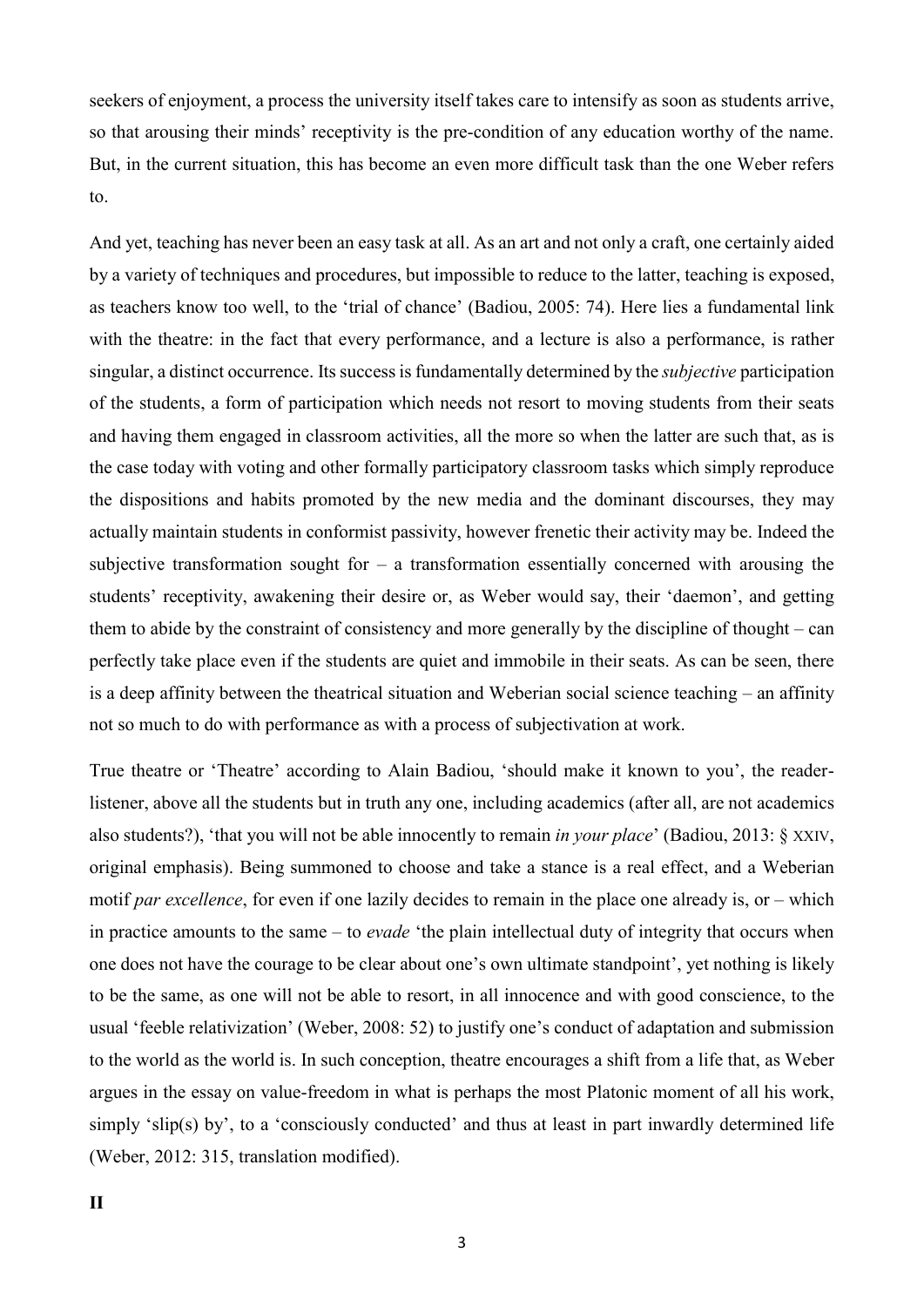seekers of enjoyment, a process the university itself takes care to intensify as soon as students arrive, so that arousing their minds' receptivity is the pre-condition of any education worthy of the name. But, in the current situation, this has become an even more difficult task than the one Weber refers to.

And yet, teaching has never been an easy task at all. As an art and not only a craft, one certainly aided by a variety of techniques and procedures, but impossible to reduce to the latter, teaching is exposed, as teachers know too well, to the 'trial of chance' (Badiou, 2005: 74). Here lies a fundamental link with the theatre: in the fact that every performance, and a lecture is also a performance, is rather singular, a distinct occurrence. Its success is fundamentally determined by the *subjective* participation of the students, a form of participation which needs not resort to moving students from their seats and having them engaged in classroom activities, all the more so when the latter are such that, as is the case today with voting and other formally participatory classroom tasks which simply reproduce the dispositions and habits promoted by the new media and the dominant discourses, they may actually maintain students in conformist passivity, however frenetic their activity may be. Indeed the subjective transformation sought for  $-$  a transformation essentially concerned with arousing the students' receptivity, awakening their desire or, as Weber would say, their 'daemon', and getting them to abide by the constraint of consistency and more generally by the discipline of thought – can perfectly take place even if the students are quiet and immobile in their seats. As can be seen, there is a deep affinity between the theatrical situation and Weberian social science teaching – an affinity not so much to do with performance as with a process of subjectivation at work.

True theatre or 'Theatre' according to Alain Badiou, 'should make it known to you', the readerlistener, above all the students but in truth any one, including academics (after all, are not academics also students?), 'that you will not be able innocently to remain *in your place*' (Badiou, 2013: § XXIV, original emphasis). Being summoned to choose and take a stance is a real effect, and a Weberian motif *par excellence*, for even if one lazily decides to remain in the place one already is, or – which in practice amounts to the same – to *evade* 'the plain intellectual duty of integrity that occurs when one does not have the courage to be clear about one's own ultimate standpoint', yet nothing is likely to be the same, as one will not be able to resort, in all innocence and with good conscience, to the usual 'feeble relativization' (Weber, 2008: 52) to justify one's conduct of adaptation and submission to the world as the world is. In such conception, theatre encourages a shift from a life that, as Weber argues in the essay on value-freedom in what is perhaps the most Platonic moment of all his work, simply 'slip(s) by', to a 'consciously conducted' and thus at least in part inwardly determined life (Weber, 2012: 315, translation modified).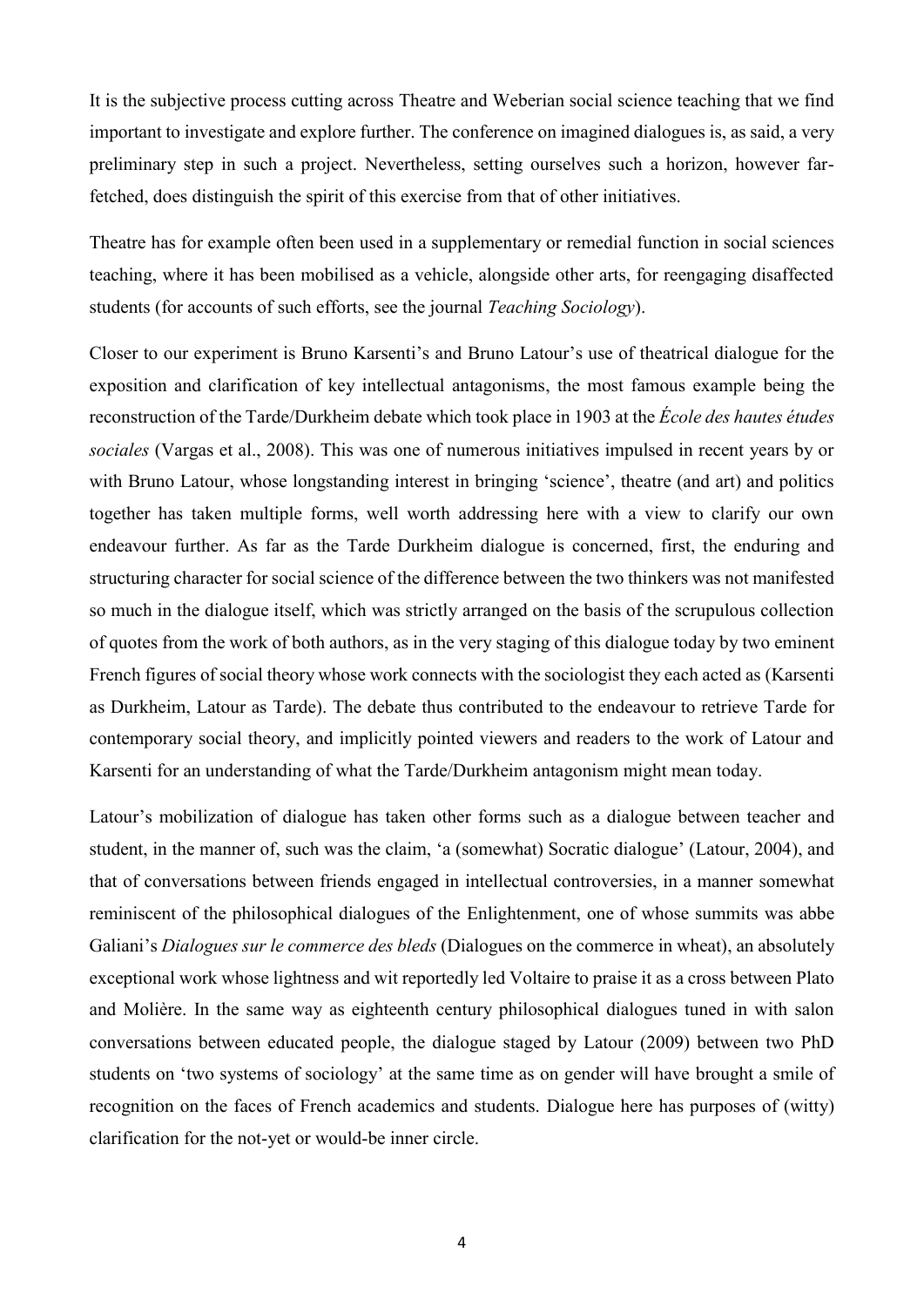It is the subjective process cutting across Theatre and Weberian social science teaching that we find important to investigate and explore further. The conference on imagined dialogues is, as said, a very preliminary step in such a project. Nevertheless, setting ourselves such a horizon, however farfetched, does distinguish the spirit of this exercise from that of other initiatives.

Theatre has for example often been used in a supplementary or remedial function in social sciences teaching, where it has been mobilised as a vehicle, alongside other arts, for reengaging disaffected students (for accounts of such efforts, see the journal *Teaching Sociology*).

Closer to our experiment is Bruno Karsenti's and Bruno Latour's use of theatrical dialogue for the exposition and clarification of key intellectual antagonisms, the most famous example being the reconstruction of the Tarde/Durkheim debate which took place in 1903 at the *École des hautes études sociales* (Vargas et al., 2008). This was one of numerous initiatives impulsed in recent years by or with Bruno Latour, whose longstanding interest in bringing 'science', theatre (and art) and politics together has taken multiple forms, well worth addressing here with a view to clarify our own endeavour further. As far as the Tarde Durkheim dialogue is concerned, first, the enduring and structuring character for social science of the difference between the two thinkers was not manifested so much in the dialogue itself, which was strictly arranged on the basis of the scrupulous collection of quotes from the work of both authors, as in the very staging of this dialogue today by two eminent French figures of social theory whose work connects with the sociologist they each acted as (Karsenti as Durkheim, Latour as Tarde). The debate thus contributed to the endeavour to retrieve Tarde for contemporary social theory, and implicitly pointed viewers and readers to the work of Latour and Karsenti for an understanding of what the Tarde/Durkheim antagonism might mean today.

Latour's mobilization of dialogue has taken other forms such as a dialogue between teacher and student, in the manner of, such was the claim, 'a (somewhat) Socratic dialogue' (Latour, 2004), and that of conversations between friends engaged in intellectual controversies, in a manner somewhat reminiscent of the philosophical dialogues of the Enlightenment, one of whose summits was abbe Galiani's *Dialogues sur le commerce des bleds* (Dialogues on the commerce in wheat), an absolutely exceptional work whose lightness and wit reportedly led Voltaire to praise it as a cross between Plato and Molière. In the same way as eighteenth century philosophical dialogues tuned in with salon conversations between educated people, the dialogue staged by Latour (2009) between two PhD students on 'two systems of sociology' at the same time as on gender will have brought a smile of recognition on the faces of French academics and students. Dialogue here has purposes of (witty) clarification for the not-yet or would-be inner circle.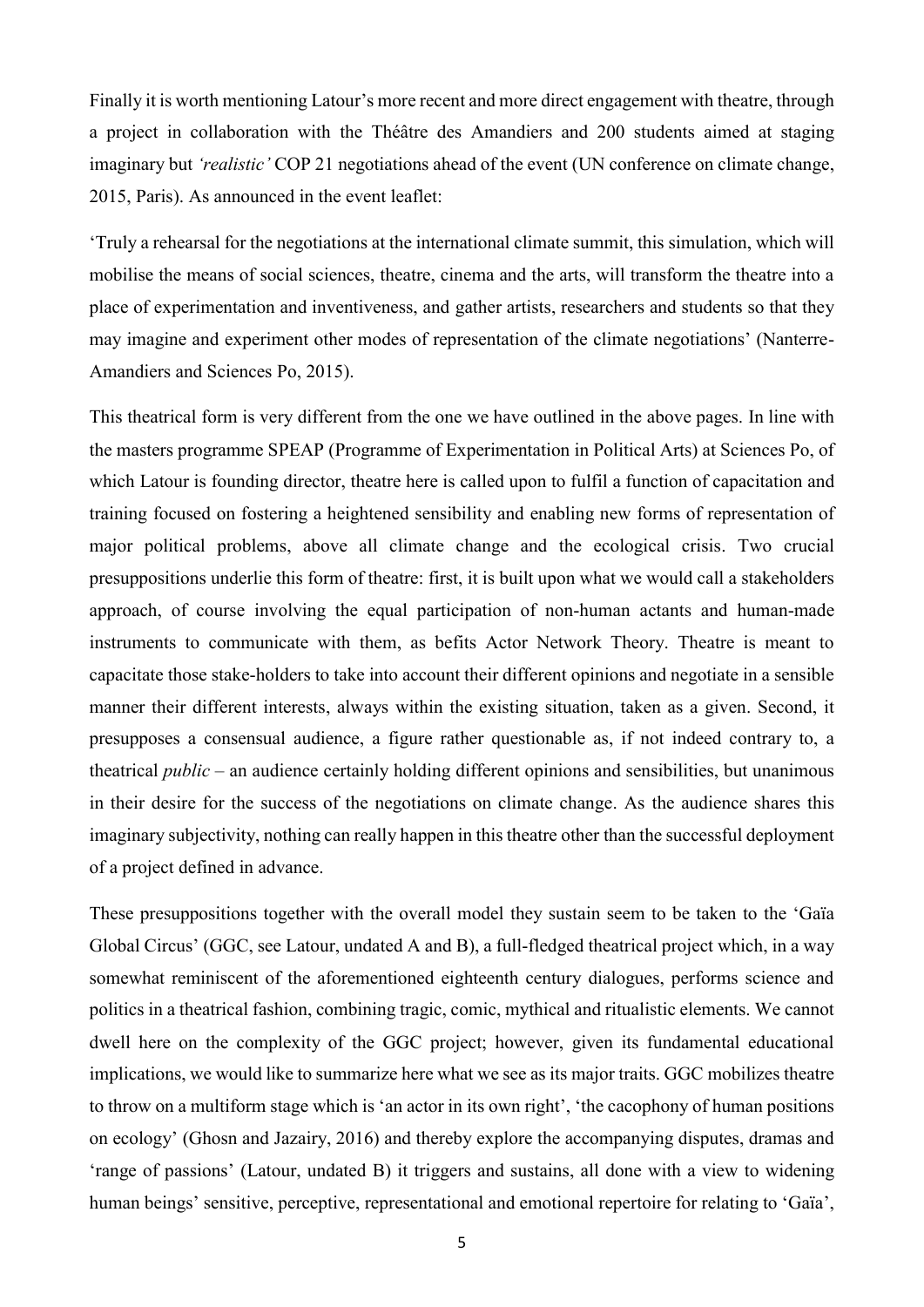Finally it is worth mentioning Latour's more recent and more direct engagement with theatre, through a project in collaboration with the Théâtre des Amandiers and 200 students aimed at staging imaginary but *'realistic'* COP 21 negotiations ahead of the event (UN conference on climate change, 2015, Paris). As announced in the event leaflet:

'Truly a rehearsal for the negotiations at the international climate summit, this simulation, which will mobilise the means of social sciences, theatre, cinema and the arts, will transform the theatre into a place of experimentation and inventiveness, and gather artists, researchers and students so that they may imagine and experiment other modes of representation of the climate negotiations' (Nanterre-Amandiers and Sciences Po, 2015).

This theatrical form is very different from the one we have outlined in the above pages. In line with the masters programme SPEAP (Programme of Experimentation in Political Arts) at Sciences Po, of which Latour is founding director, theatre here is called upon to fulfil a function of capacitation and training focused on fostering a heightened sensibility and enabling new forms of representation of major political problems, above all climate change and the ecological crisis. Two crucial presuppositions underlie this form of theatre: first, it is built upon what we would call a stakeholders approach, of course involving the equal participation of non-human actants and human-made instruments to communicate with them, as befits Actor Network Theory. Theatre is meant to capacitate those stake-holders to take into account their different opinions and negotiate in a sensible manner their different interests, always within the existing situation, taken as a given. Second, it presupposes a consensual audience, a figure rather questionable as, if not indeed contrary to, a theatrical *public* – an audience certainly holding different opinions and sensibilities, but unanimous in their desire for the success of the negotiations on climate change. As the audience shares this imaginary subjectivity, nothing can really happen in this theatre other than the successful deployment of a project defined in advance.

These presuppositions together with the overall model they sustain seem to be taken to the 'Gaïa Global Circus' (GGC, see Latour, undated A and B), a full-fledged theatrical project which, in a way somewhat reminiscent of the aforementioned eighteenth century dialogues, performs science and politics in a theatrical fashion, combining tragic, comic, mythical and ritualistic elements. We cannot dwell here on the complexity of the GGC project; however, given its fundamental educational implications, we would like to summarize here what we see as its major traits. GGC mobilizes theatre to throw on a multiform stage which is 'an actor in its own right', 'the cacophony of human positions on ecology' (Ghosn and Jazairy, 2016) and thereby explore the accompanying disputes, dramas and 'range of passions' (Latour, undated B) it triggers and sustains, all done with a view to widening human beings' sensitive, perceptive, representational and emotional repertoire for relating to 'Gaïa',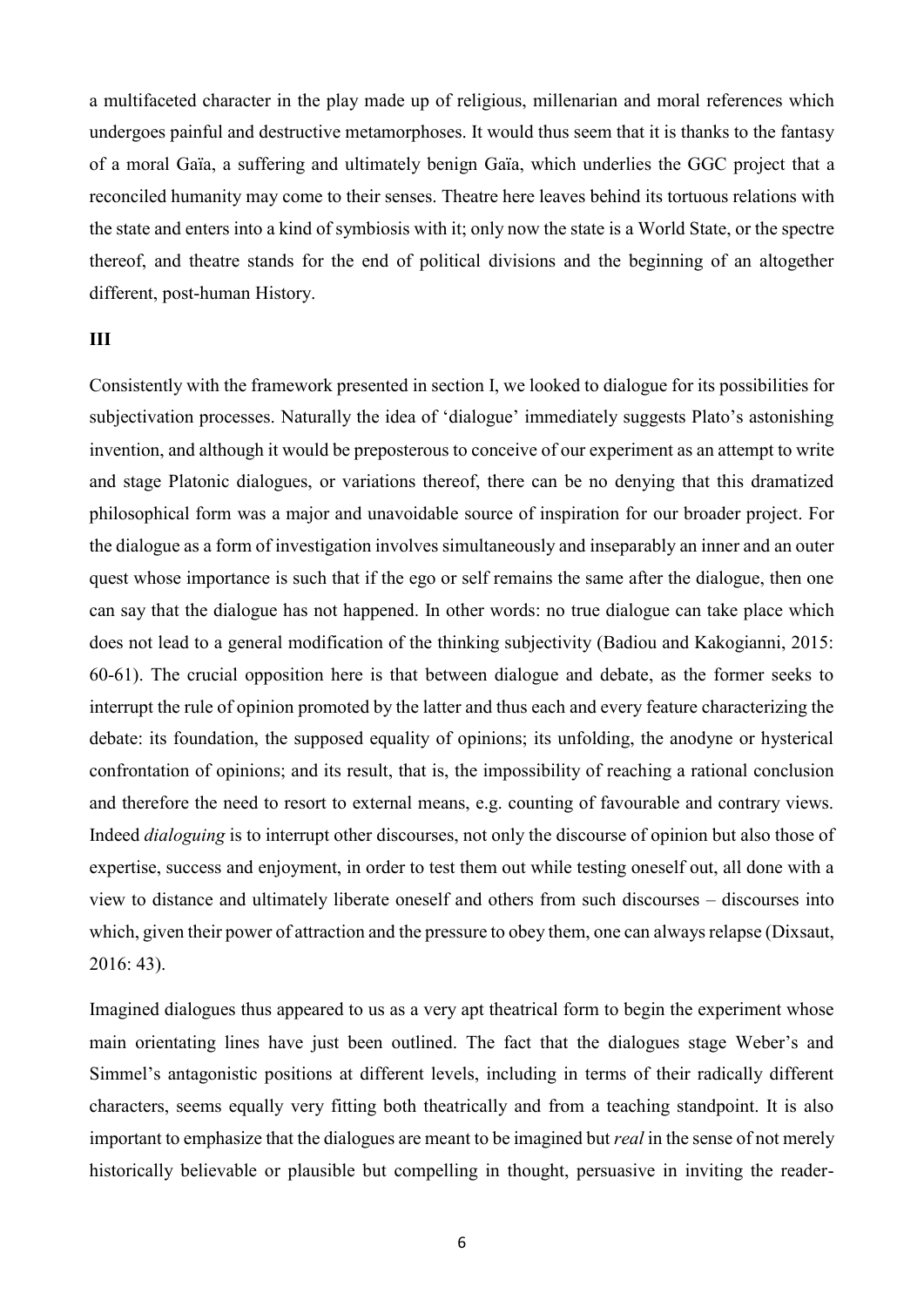a multifaceted character in the play made up of religious, millenarian and moral references which undergoes painful and destructive metamorphoses. It would thus seem that it is thanks to the fantasy of a moral Gaïa, a suffering and ultimately benign Gaïa, which underlies the GGC project that a reconciled humanity may come to their senses. Theatre here leaves behind its tortuous relations with the state and enters into a kind of symbiosis with it; only now the state is a World State, or the spectre thereof, and theatre stands for the end of political divisions and the beginning of an altogether different, post-human History.

#### **III**

Consistently with the framework presented in section I, we looked to dialogue for its possibilities for subjectivation processes. Naturally the idea of 'dialogue' immediately suggests Plato's astonishing invention, and although it would be preposterous to conceive of our experiment as an attempt to write and stage Platonic dialogues, or variations thereof, there can be no denying that this dramatized philosophical form was a major and unavoidable source of inspiration for our broader project. For the dialogue as a form of investigation involves simultaneously and inseparably an inner and an outer quest whose importance is such that if the ego or self remains the same after the dialogue, then one can say that the dialogue has not happened. In other words: no true dialogue can take place which does not lead to a general modification of the thinking subjectivity (Badiou and Kakogianni, 2015: 60-61). The crucial opposition here is that between dialogue and debate, as the former seeks to interrupt the rule of opinion promoted by the latter and thus each and every feature characterizing the debate: its foundation, the supposed equality of opinions; its unfolding, the anodyne or hysterical confrontation of opinions; and its result, that is, the impossibility of reaching a rational conclusion and therefore the need to resort to external means, e.g. counting of favourable and contrary views. Indeed *dialoguing* is to interrupt other discourses, not only the discourse of opinion but also those of expertise, success and enjoyment, in order to test them out while testing oneself out, all done with a view to distance and ultimately liberate oneself and others from such discourses – discourses into which, given their power of attraction and the pressure to obey them, one can always relapse (Dixsaut, 2016: 43).

Imagined dialogues thus appeared to us as a very apt theatrical form to begin the experiment whose main orientating lines have just been outlined. The fact that the dialogues stage Weber's and Simmel's antagonistic positions at different levels, including in terms of their radically different characters, seems equally very fitting both theatrically and from a teaching standpoint. It is also important to emphasize that the dialogues are meant to be imagined but *real* in the sense of not merely historically believable or plausible but compelling in thought, persuasive in inviting the reader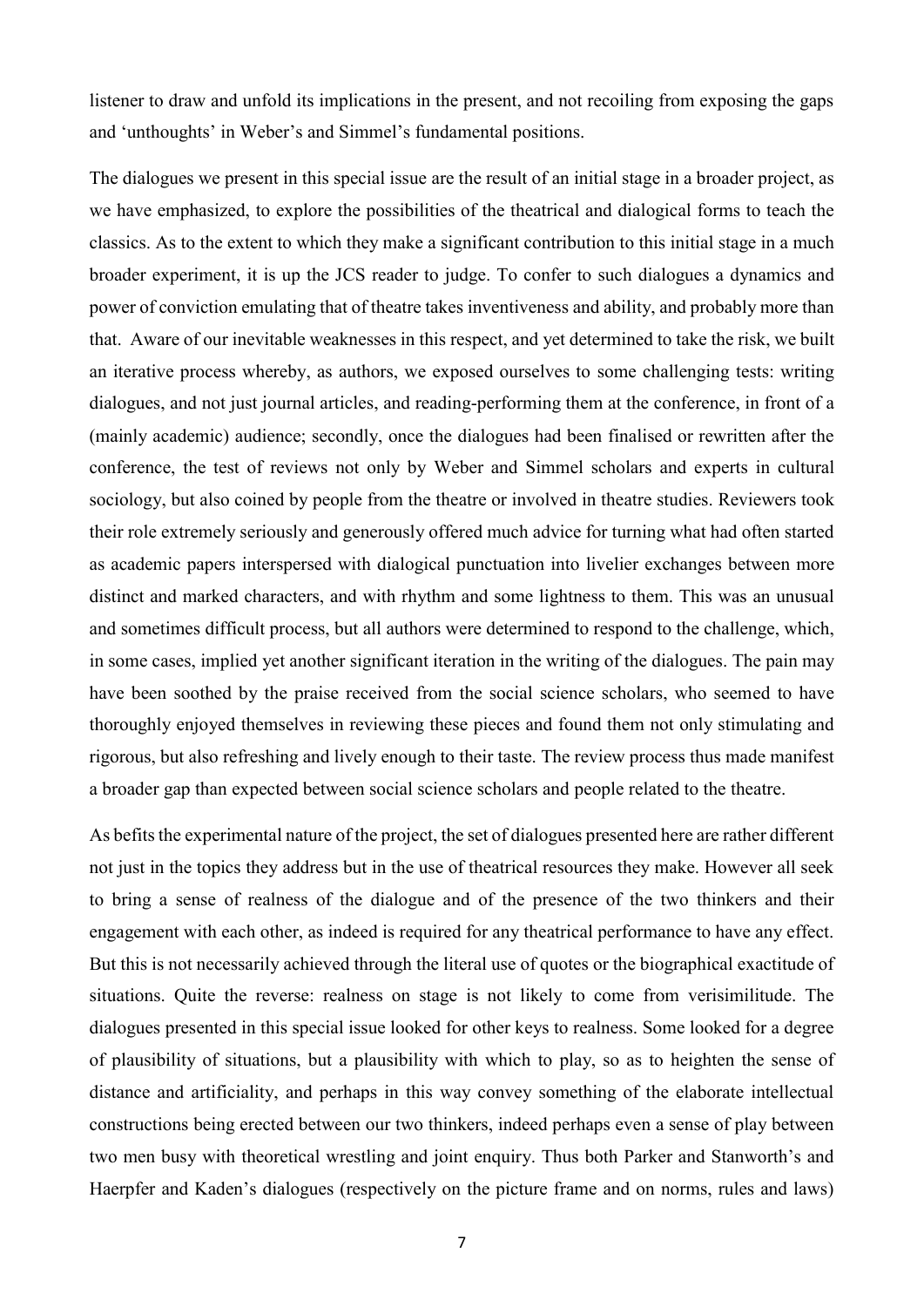listener to draw and unfold its implications in the present, and not recoiling from exposing the gaps and 'unthoughts' in Weber's and Simmel's fundamental positions.

The dialogues we present in this special issue are the result of an initial stage in a broader project, as we have emphasized, to explore the possibilities of the theatrical and dialogical forms to teach the classics. As to the extent to which they make a significant contribution to this initial stage in a much broader experiment, it is up the JCS reader to judge. To confer to such dialogues a dynamics and power of conviction emulating that of theatre takes inventiveness and ability, and probably more than that. Aware of our inevitable weaknesses in this respect, and yet determined to take the risk, we built an iterative process whereby, as authors, we exposed ourselves to some challenging tests: writing dialogues, and not just journal articles, and reading-performing them at the conference, in front of a (mainly academic) audience; secondly, once the dialogues had been finalised or rewritten after the conference, the test of reviews not only by Weber and Simmel scholars and experts in cultural sociology, but also coined by people from the theatre or involved in theatre studies. Reviewers took their role extremely seriously and generously offered much advice for turning what had often started as academic papers interspersed with dialogical punctuation into livelier exchanges between more distinct and marked characters, and with rhythm and some lightness to them. This was an unusual and sometimes difficult process, but all authors were determined to respond to the challenge, which, in some cases, implied yet another significant iteration in the writing of the dialogues. The pain may have been soothed by the praise received from the social science scholars, who seemed to have thoroughly enjoyed themselves in reviewing these pieces and found them not only stimulating and rigorous, but also refreshing and lively enough to their taste. The review process thus made manifest a broader gap than expected between social science scholars and people related to the theatre.

As befits the experimental nature of the project, the set of dialogues presented here are rather different not just in the topics they address but in the use of theatrical resources they make. However all seek to bring a sense of realness of the dialogue and of the presence of the two thinkers and their engagement with each other, as indeed is required for any theatrical performance to have any effect. But this is not necessarily achieved through the literal use of quotes or the biographical exactitude of situations. Quite the reverse: realness on stage is not likely to come from verisimilitude. The dialogues presented in this special issue looked for other keys to realness. Some looked for a degree of plausibility of situations, but a plausibility with which to play, so as to heighten the sense of distance and artificiality, and perhaps in this way convey something of the elaborate intellectual constructions being erected between our two thinkers, indeed perhaps even a sense of play between two men busy with theoretical wrestling and joint enquiry. Thus both Parker and Stanworth's and Haerpfer and Kaden's dialogues (respectively on the picture frame and on norms, rules and laws)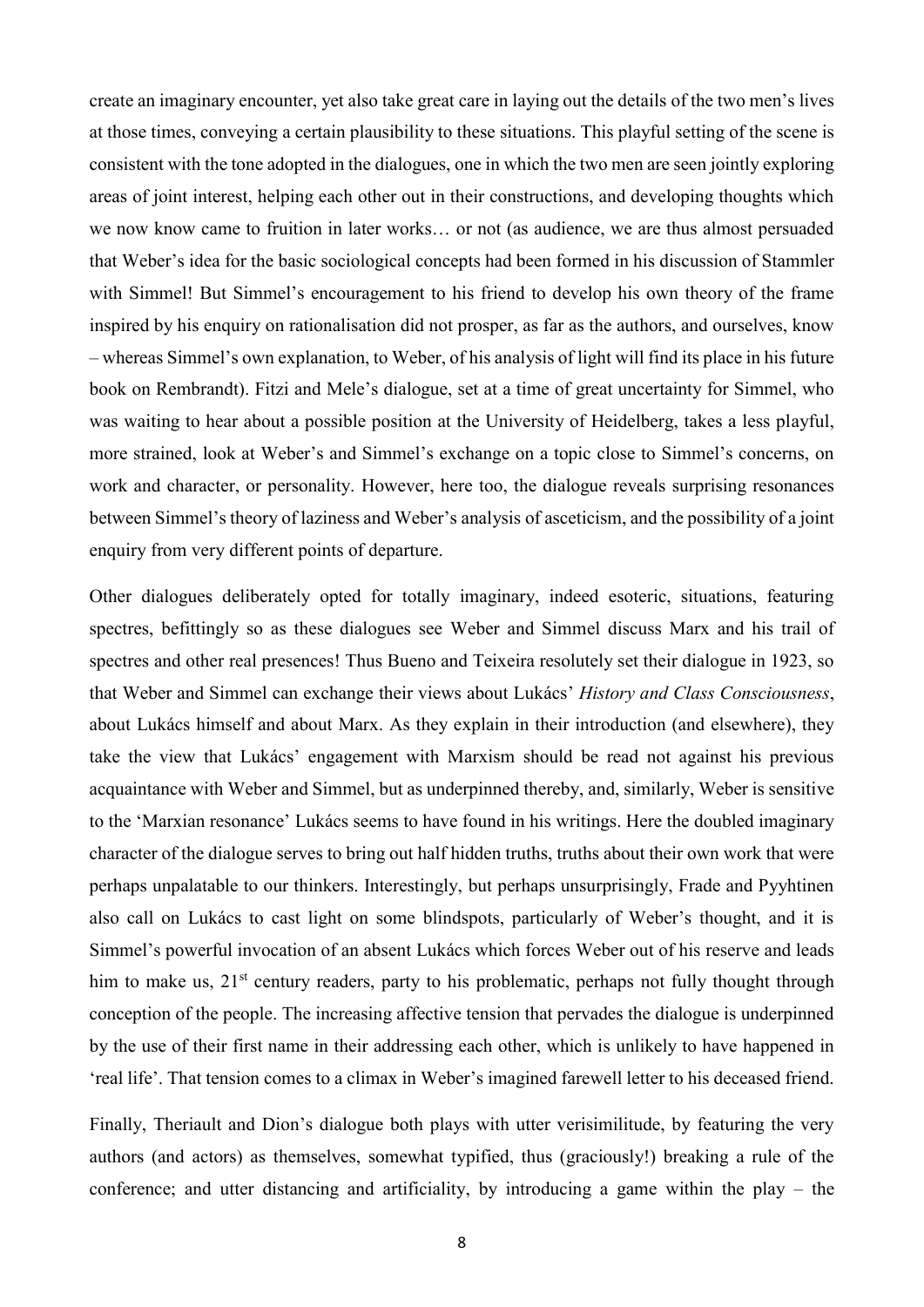create an imaginary encounter, yet also take great care in laying out the details of the two men's lives at those times, conveying a certain plausibility to these situations. This playful setting of the scene is consistent with the tone adopted in the dialogues, one in which the two men are seen jointly exploring areas of joint interest, helping each other out in their constructions, and developing thoughts which we now know came to fruition in later works… or not (as audience, we are thus almost persuaded that Weber's idea for the basic sociological concepts had been formed in his discussion of Stammler with Simmel! But Simmel's encouragement to his friend to develop his own theory of the frame inspired by his enquiry on rationalisation did not prosper, as far as the authors, and ourselves, know – whereas Simmel's own explanation, to Weber, of his analysis of light will find its place in his future book on Rembrandt). Fitzi and Mele's dialogue, set at a time of great uncertainty for Simmel, who was waiting to hear about a possible position at the University of Heidelberg, takes a less playful, more strained, look at Weber's and Simmel's exchange on a topic close to Simmel's concerns, on work and character, or personality. However, here too, the dialogue reveals surprising resonances between Simmel's theory of laziness and Weber's analysis of asceticism, and the possibility of a joint enquiry from very different points of departure.

Other dialogues deliberately opted for totally imaginary, indeed esoteric, situations, featuring spectres, befittingly so as these dialogues see Weber and Simmel discuss Marx and his trail of spectres and other real presences! Thus Bueno and Teixeira resolutely set their dialogue in 1923, so that Weber and Simmel can exchange their views about Lukács' *History and Class Consciousness*, about Lukács himself and about Marx. As they explain in their introduction (and elsewhere), they take the view that Lukács' engagement with Marxism should be read not against his previous acquaintance with Weber and Simmel, but as underpinned thereby, and, similarly, Weber is sensitive to the 'Marxian resonance' Lukács seems to have found in his writings. Here the doubled imaginary character of the dialogue serves to bring out half hidden truths, truths about their own work that were perhaps unpalatable to our thinkers. Interestingly, but perhaps unsurprisingly, Frade and Pyyhtinen also call on Lukács to cast light on some blindspots, particularly of Weber's thought, and it is Simmel's powerful invocation of an absent Lukács which forces Weber out of his reserve and leads him to make us, 21<sup>st</sup> century readers, party to his problematic, perhaps not fully thought through conception of the people. The increasing affective tension that pervades the dialogue is underpinned by the use of their first name in their addressing each other, which is unlikely to have happened in 'real life'. That tension comes to a climax in Weber's imagined farewell letter to his deceased friend.

Finally, Theriault and Dion's dialogue both plays with utter verisimilitude, by featuring the very authors (and actors) as themselves, somewhat typified, thus (graciously!) breaking a rule of the conference; and utter distancing and artificiality, by introducing a game within the play – the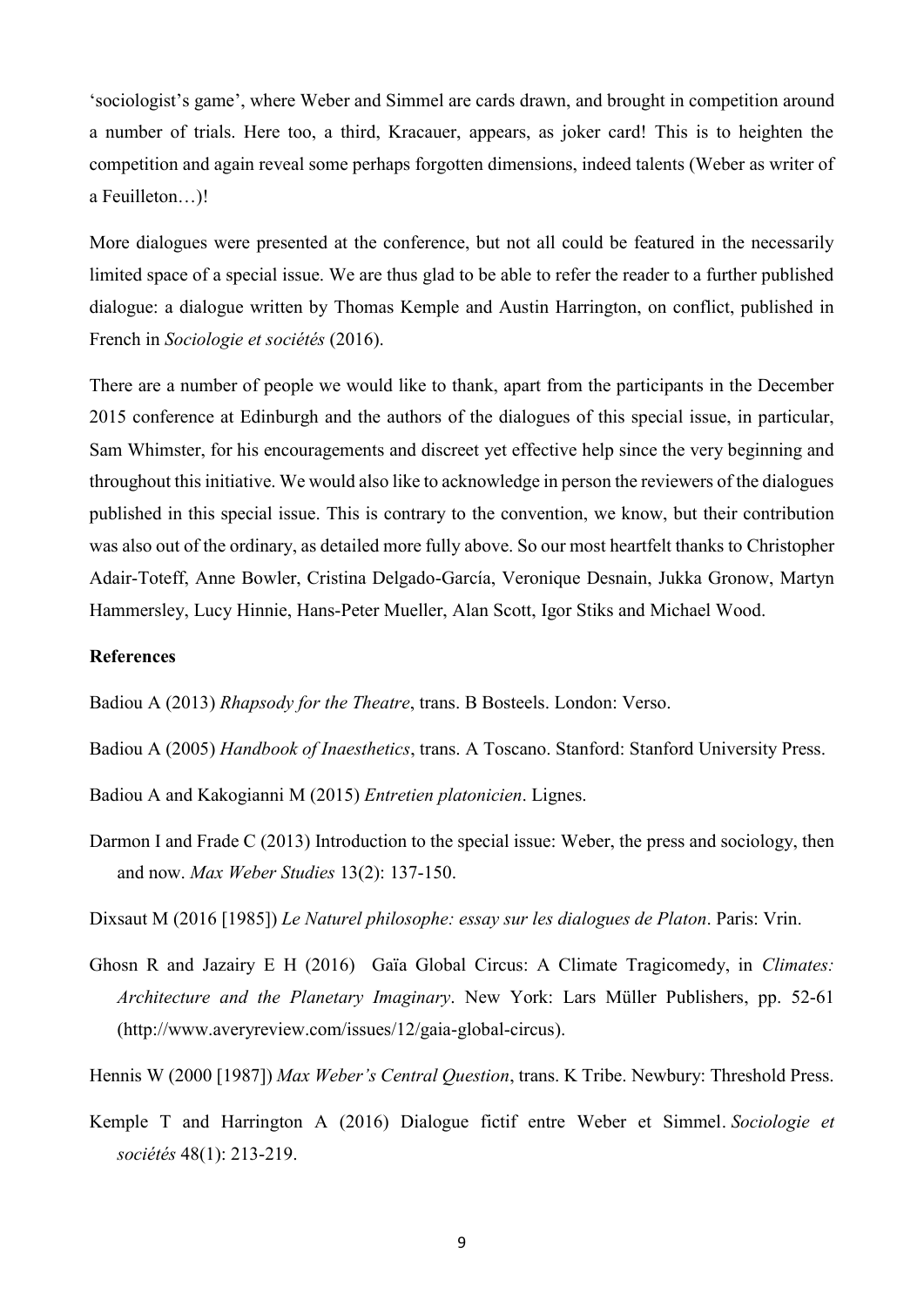'sociologist's game', where Weber and Simmel are cards drawn, and brought in competition around a number of trials. Here too, a third, Kracauer, appears, as joker card! This is to heighten the competition and again reveal some perhaps forgotten dimensions, indeed talents (Weber as writer of a Feuilleton…)!

More dialogues were presented at the conference, but not all could be featured in the necessarily limited space of a special issue. We are thus glad to be able to refer the reader to a further published dialogue: a dialogue written by Thomas Kemple and Austin Harrington, on conflict, published in French in *Sociologie et sociétés* (2016).

There are a number of people we would like to thank, apart from the participants in the December 2015 conference at Edinburgh and the authors of the dialogues of this special issue, in particular, Sam Whimster, for his encouragements and discreet yet effective help since the very beginning and throughout this initiative. We would also like to acknowledge in person the reviewers of the dialogues published in this special issue. This is contrary to the convention, we know, but their contribution was also out of the ordinary, as detailed more fully above. So our most heartfelt thanks to Christopher Adair-Toteff, Anne Bowler, Cristina Delgado-García, Veronique Desnain, Jukka Gronow, Martyn Hammersley, Lucy Hinnie, Hans-Peter Mueller, Alan Scott, Igor Stiks and Michael Wood.

#### **References**

Badiou A (2013) *Rhapsody for the Theatre*, trans. B Bosteels. London: Verso.

Badiou A (2005) *Handbook of Inaesthetics*, trans. A Toscano. Stanford: Stanford University Press.

Badiou A and Kakogianni M (2015) *Entretien platonicien*. Lignes.

Darmon I and Frade C (2013) Introduction to the special issue: Weber, the press and sociology, then and now. *Max Weber Studies* 13(2): 137-150.

Dixsaut M (2016 [1985]) *Le Naturel philosophe: essay sur les dialogues de Platon*. Paris: Vrin.

Ghosn R and Jazairy E H (2016) Gaïa Global Circus: A Climate Tragicomedy, in *Climates: Architecture and the Planetary Imaginary*. New York: Lars Müller Publishers, pp. 52-61 (http://www.averyreview.com/issues/12/gaia-global-circus).

Hennis W (2000 [1987]) *Max Weber's Central Question*, trans. K Tribe. Newbury: Threshold Press.

Kemple T and Harrington A (2016) Dialogue fictif entre Weber et Simmel. *Sociologie et sociétés* 48(1): 213-219.